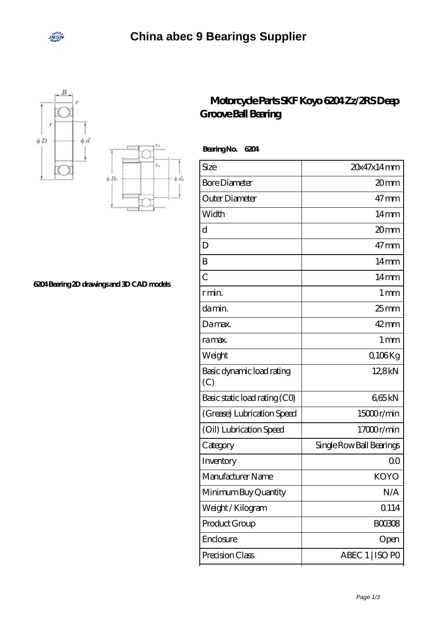





## **[6204 Bearing 2D drawings and 3D CAD models](https://onlinedegreenavigator.org/pic-664574.html)**

## **[Motorcycle Parts SKF Koyo 6204 Zz/2RS Deep](https://onlinedegreenavigator.org/koyo-6204-bearing/) [Groove Ball Bearing](https://onlinedegreenavigator.org/koyo-6204-bearing/)**

 **Bearing No. 6204**

| <b>Bore Diameter</b><br>20mm<br>Outer Diameter<br>$47 \,\mathrm{mm}$<br>Width<br>$14 \text{mm}$<br>d<br>20mm<br>$47 \text{mm}$<br>D<br>B<br>$14 \text{mm}$ |
|------------------------------------------------------------------------------------------------------------------------------------------------------------|
|                                                                                                                                                            |
|                                                                                                                                                            |
|                                                                                                                                                            |
|                                                                                                                                                            |
|                                                                                                                                                            |
|                                                                                                                                                            |
| $\overline{C}$<br>$14 \text{mm}$                                                                                                                           |
| 1 <sub>mm</sub><br>r min.                                                                                                                                  |
| $25$ mm<br>da min.                                                                                                                                         |
| $42 \text{mm}$<br>Damax.                                                                                                                                   |
| 1 <sub>mm</sub><br>ra max.                                                                                                                                 |
| Q106Kg<br>Weight                                                                                                                                           |
| Basic dynamic load rating<br>12,8kN<br>(C)                                                                                                                 |
| Basic static load rating (CO)<br>665kN                                                                                                                     |
| 15000r/min<br>(Grease) Lubrication Speed                                                                                                                   |
| 17000r/min<br>(Oil) Lubrication Speed                                                                                                                      |
| Single Row Ball Bearings<br>Category                                                                                                                       |
| Inventory<br>QO                                                                                                                                            |
| Manufacturer Name<br>KOYO                                                                                                                                  |
| Minimum Buy Quantity<br>N/A                                                                                                                                |
| 0.114<br>Weight/Kilogram                                                                                                                                   |
| Product Group<br><b>BOO308</b>                                                                                                                             |
|                                                                                                                                                            |
| Enclosure<br>Open                                                                                                                                          |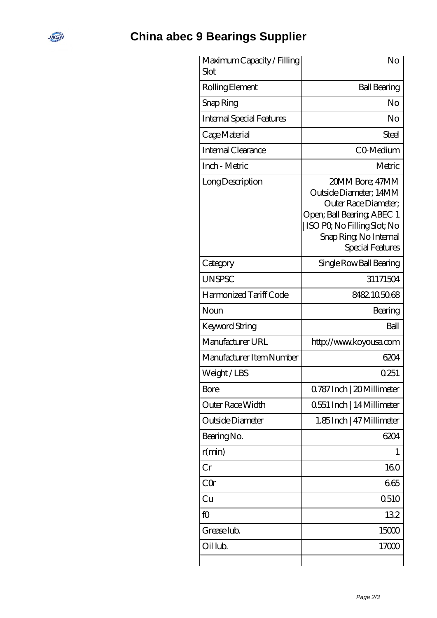## **[China abec 9 Bearings Supplier](https://onlinedegreenavigator.org)**

**INEW** 

| Maximum Capacity / Filling<br>Slot. | No                                                                                                                                                                           |
|-------------------------------------|------------------------------------------------------------------------------------------------------------------------------------------------------------------------------|
| Rolling Element                     | <b>Ball Bearing</b>                                                                                                                                                          |
| Snap Ring                           | No                                                                                                                                                                           |
| <b>Internal Special Features</b>    | No                                                                                                                                                                           |
| Cage Material                       | Steel                                                                                                                                                                        |
| Internal Clearance                  | CO-Medium                                                                                                                                                                    |
| Inch - Metric                       | Metric                                                                                                                                                                       |
| Long Description                    | 20MM Bore; 47MM<br>Outside Diameter; 14MM<br>Outer Race Diameter;<br>Open; Ball Bearing; ABEC 1<br>ISO PO, No Filling Slot; No<br>Snap Ring, No Internal<br>Special Features |
| Category                            | Single Row Ball Bearing                                                                                                                                                      |
| <b>UNSPSC</b>                       | 31171504                                                                                                                                                                     |
| Harmonized Tariff Code              | 8482105068                                                                                                                                                                   |
| Noun                                | Bearing                                                                                                                                                                      |
| <b>Keyword String</b>               | Ball                                                                                                                                                                         |
| Manufacturer URL                    | http://www.koyousa.com                                                                                                                                                       |
| Manufacturer Item Number            | 6204                                                                                                                                                                         |
| Weight/LBS                          | 0251                                                                                                                                                                         |
| Bore                                | 0.787 Inch   20 Millimeter                                                                                                                                                   |
| Outer Race Width                    | 0551 Inch   14 Millimeter                                                                                                                                                    |
| Outside Diameter                    | 1.85Inch   47 Millimeter                                                                                                                                                     |
| Bearing No.                         | 6204                                                                                                                                                                         |
| r(min)                              | 1                                                                                                                                                                            |
| Cr                                  | 160                                                                                                                                                                          |
| CQr                                 | 665                                                                                                                                                                          |
| Cu                                  | 0510                                                                                                                                                                         |
| fO                                  | 132                                                                                                                                                                          |
| Grease lub.                         | 15000                                                                                                                                                                        |
| Oil lub.                            | 17000                                                                                                                                                                        |
|                                     |                                                                                                                                                                              |